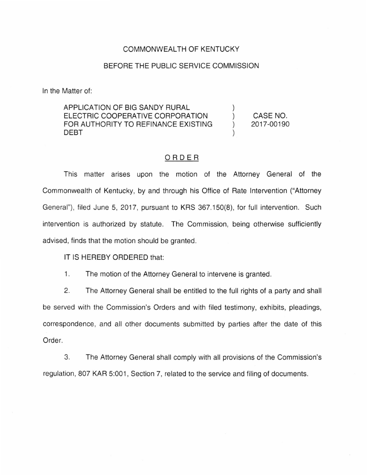## COMMONWEALTH OF KENTUCKY

## BEFORE THE PUBLIC SERVICE COMMISSION

In the Matter of:

## APPLICATION OF BIG SANDY RURAL ELECTRIC COOPERATIVE CORPORATION FOR AUTHORITY TO REFINANCE EXISTING DEBT

CASE NO. 2017-00190

 $\mathcal{E}$  $\mathcal{L}$ 

## ORDER

This matter arises upon the motion of the Attorney General of the Commonwealth of Kentucky, by and through his Office of Rate Intervention ("Attorney General"), filed June 5, 2017, pursuant to KRS 367.150(8), for full intervention. Such intervention is authorized by statute. The Commission, being otherwise sufficiently advised, finds that the motion should be granted.

IT IS HEREBY ORDERED that:

1. The motion of the Attorney General to intervene is granted.

2. The Attorney General shall be entitled to the full rights of a party and shall be served with the Commission's Orders and with filed testimony, exhibits, pleadings, correspondence, and all other documents submitted by parties after the date of this Order.

3. The Attorney General shall comply with all provisions of the Commission's regulation, 807 KAR 5:001, Section 7, related to the service and filing of documents.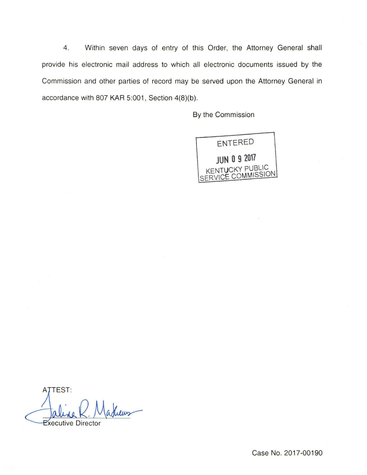4. Within seven days of entry of this Order, the Attorney General shall provide his electronic mail address to which all electronic documents issued by the Commission and other parties of record may be served upon the Attorney General in accordance with 807 KAR 5:001, Section 4(8)(b).

By the Commission



TEST: **Executive Director** 

Case No. 2017-00190